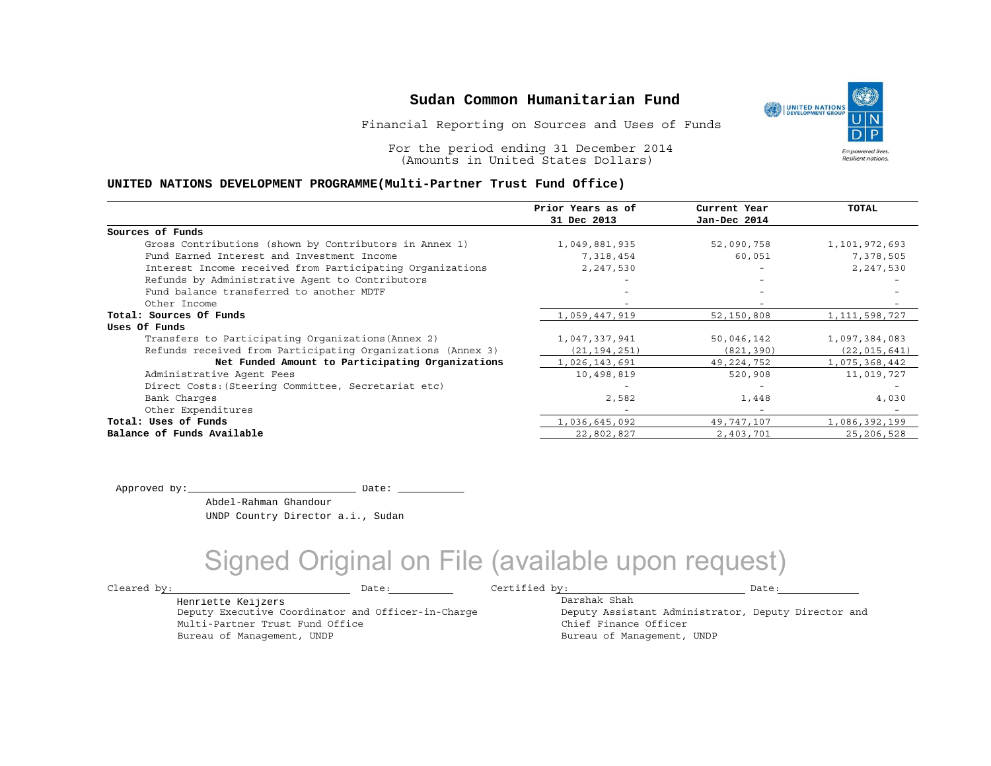Financial Reporting on Sources and Uses of Funds

For the period ending 31 December 2014 (Amounts in United States Dollars)

#### **UNITED NATIONS DEVELOPMENT PROGRAMME(Multi-Partner Trust Fund Office)**

|                                                             | Prior Years as of | Current Year             | <b>TOTAL</b>     |
|-------------------------------------------------------------|-------------------|--------------------------|------------------|
|                                                             | 31 Dec 2013       | Jan-Dec 2014             |                  |
| Sources of Funds                                            |                   |                          |                  |
| Gross Contributions (shown by Contributors in Annex 1)      | 1,049,881,935     | 52,090,758               | 1,101,972,693    |
| Fund Earned Interest and Investment Income                  | 7,318,454         | 60,051                   | 7,378,505        |
| Interest Income received from Participating Organizations   | 2,247,530         | $\overline{\phantom{0}}$ | 2,247,530        |
| Refunds by Administrative Agent to Contributors             |                   | $\overline{\phantom{0}}$ |                  |
| Fund balance transferred to another MDTF                    |                   |                          |                  |
| Other Income                                                |                   |                          |                  |
| Total: Sources Of Funds                                     | 1,059,447,919     | 52,150,808               | 1, 111, 598, 727 |
| Uses Of Funds                                               |                   |                          |                  |
| Transfers to Participating Organizations (Annex 2)          | 1,047,337,941     | 50,046,142               | 1,097,384,083    |
| Refunds received from Participating Organizations (Annex 3) | (21, 194, 251)    | (821, 390)               | (22, 015, 641)   |
| Net Funded Amount to Participating Organizations            | 1,026,143,691     | 49,224,752               | 1,075,368,442    |
| Administrative Agent Fees                                   | 10,498,819        | 520,908                  | 11,019,727       |
| Direct Costs: (Steering Committee, Secretariat etc)         |                   |                          |                  |
| Bank Charges                                                | 2,582             | 1,448                    | 4,030            |
| Other Expenditures                                          |                   | $\overline{\phantom{0}}$ |                  |
| Total: Uses of Funds                                        | 1,036,645,092     | 49,747,107               | 1,086,392,199    |
| Balance of Funds Available                                  | 22,802,827        | 2,403,701                | 25,206,528       |

Approved by:\_\_\_\_\_\_\_\_\_\_\_\_\_\_\_\_\_\_\_\_\_\_\_\_\_\_\_\_ Date: \_\_\_\_\_\_\_\_\_\_\_

Multi-Partner Trust Fund Office Bureau of Management, UNDP

Henriette Keijzers

 Abdel-Rahman Ghandour UNDP Country Director a.i., Sudan

Deputy Executive Coordinator and Officer-in-Charge

## Signed Original on File (available upon request)

Cleared by: Date: Certified by: Date:

Darshak Shah Deputy Assistant Administrator, Deputy Director and Chief Finance Officer Bureau of Management, UNDP

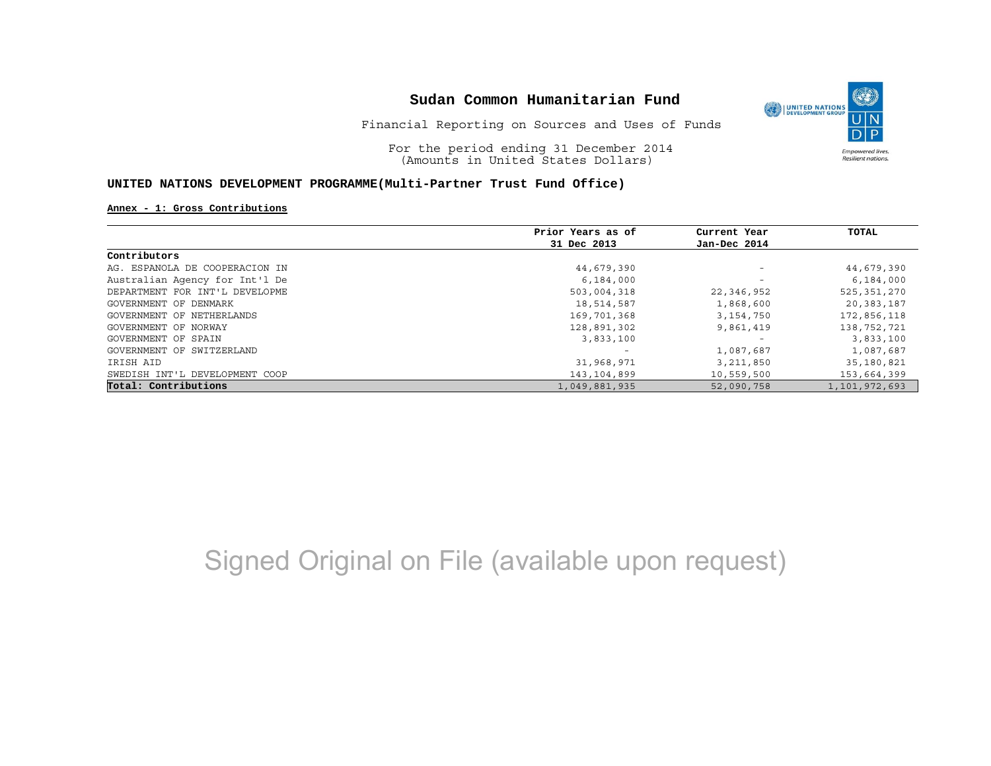

For the period ending 31 December 2014 (Amounts in United States Dollars)

#### **UNITED NATIONS DEVELOPMENT PROGRAMME(Multi-Partner Trust Fund Office)**

#### **Annex - 1: Gross Contributions**

|                                | Prior Years as of | Current Year             | TOTAL         |
|--------------------------------|-------------------|--------------------------|---------------|
|                                | 31 Dec 2013       | Jan-Dec 2014             |               |
| Contributors                   |                   |                          |               |
| AG. ESPANOLA DE COOPERACION IN | 44,679,390        | $\overline{\phantom{m}}$ | 44,679,390    |
| Australian Agency for Int'l De | 6,184,000         | $\overline{\phantom{m}}$ | 6,184,000     |
| DEPARTMENT FOR INT'L DEVELOPME | 503,004,318       | 22,346,952               | 525,351,270   |
| GOVERNMENT OF DENMARK          | 18,514,587        | 1,868,600                | 20,383,187    |
| GOVERNMENT OF NETHERLANDS      | 169,701,368       | 3, 154, 750              | 172,856,118   |
| GOVERNMENT OF NORWAY           | 128,891,302       | 9,861,419                | 138,752,721   |
| GOVERNMENT OF SPAIN            | 3,833,100         |                          | 3,833,100     |
| GOVERNMENT OF SWITZERLAND      |                   | 1,087,687                | 1,087,687     |
| IRISH AID                      | 31,968,971        | 3,211,850                | 35,180,821    |
| SWEDISH INT'L DEVELOPMENT COOP | 143,104,899       | 10,559,500               | 153,664,399   |
| Total: Contributions           | 1,049,881,935     | 52,090,758               | 1,101,972,693 |

# Signed Original on File (available upon request)

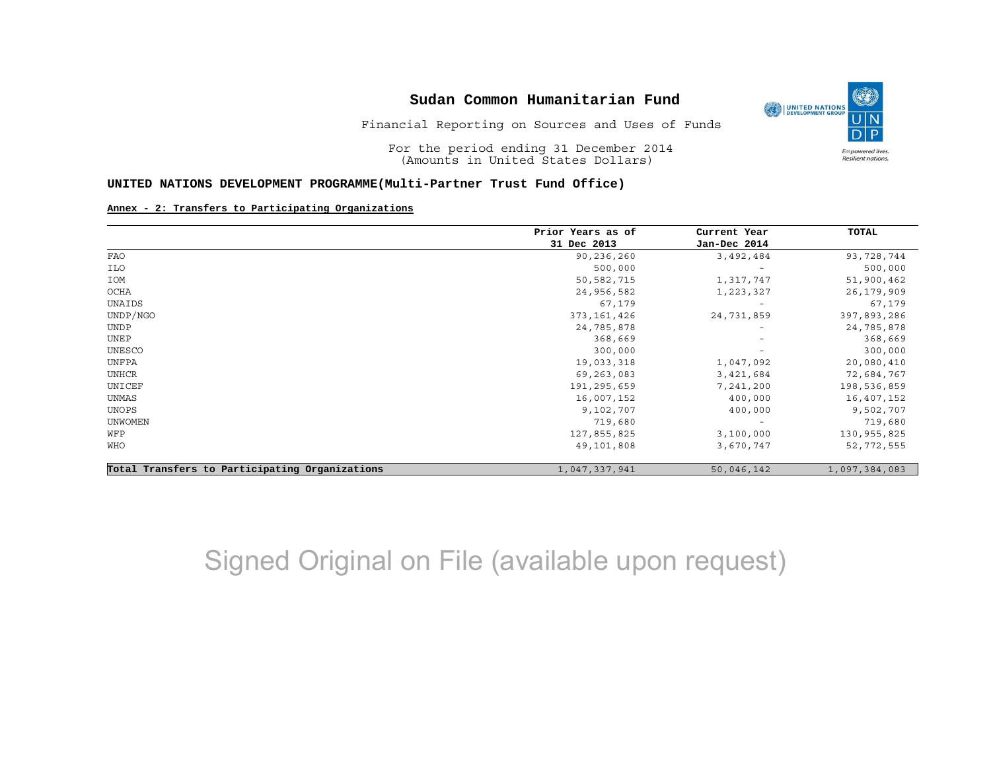

(O

**Empowered lives** Resilient nations.

Financial Reporting on Sources and Uses of Funds

For the period ending 31 December 2014 (Amounts in United States Dollars)

#### **UNITED NATIONS DEVELOPMENT PROGRAMME(Multi-Partner Trust Fund Office)**

#### **Annex - 2: Transfers to Participating Organizations**

|                                                | Prior Years as of | Current Year             | <b>TOTAL</b>  |
|------------------------------------------------|-------------------|--------------------------|---------------|
|                                                | 31 Dec 2013       | Jan-Dec 2014             |               |
| FAO                                            | 90,236,260        | 3,492,484                | 93,728,744    |
| ILO                                            | 500,000           |                          | 500,000       |
| IOM                                            | 50,582,715        | 1,317,747                | 51,900,462    |
| OCHA                                           | 24,956,582        | 1,223,327                | 26,179,909    |
| UNAIDS                                         | 67,179            |                          | 67,179        |
| UNDP/NGO                                       | 373, 161, 426     | 24,731,859               | 397,893,286   |
| <b>UNDP</b>                                    | 24,785,878        |                          | 24,785,878    |
| UNEP                                           | 368,669           | $\overline{\phantom{a}}$ | 368,669       |
| UNESCO                                         | 300,000           |                          | 300,000       |
| UNFPA                                          | 19,033,318        | 1,047,092                | 20,080,410    |
| UNHCR                                          | 69,263,083        | 3,421,684                | 72,684,767    |
| UNICEF                                         | 191,295,659       | 7,241,200                | 198,536,859   |
| UNMAS                                          | 16,007,152        | 400,000                  | 16,407,152    |
| UNOPS                                          | 9,102,707         | 400,000                  | 9,502,707     |
| <b>UNWOMEN</b>                                 | 719,680           | $\overline{\phantom{a}}$ | 719,680       |
| WFP                                            | 127,855,825       | 3,100,000                | 130, 955, 825 |
| WHO                                            | 49,101,808        | 3,670,747                | 52,772,555    |
| Total Transfers to Participating Organizations | 1,047,337,941     | 50,046,142               | 1,097,384,083 |

## Signed Original on File (available upon request)